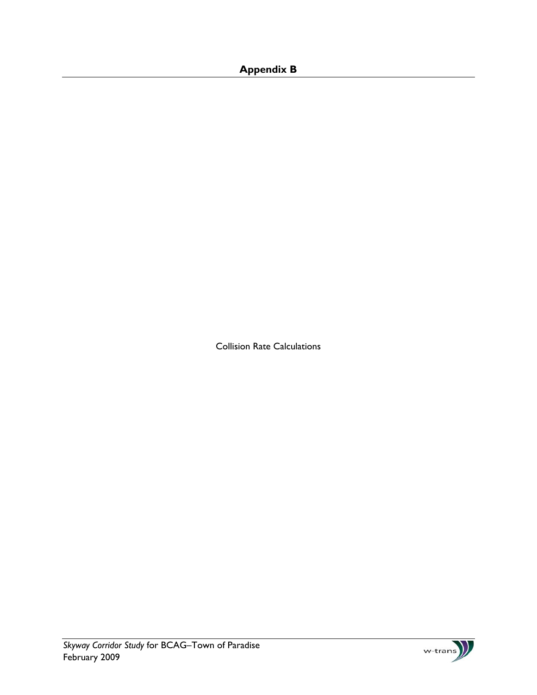# **Appendix B**

Collision Rate Calculations

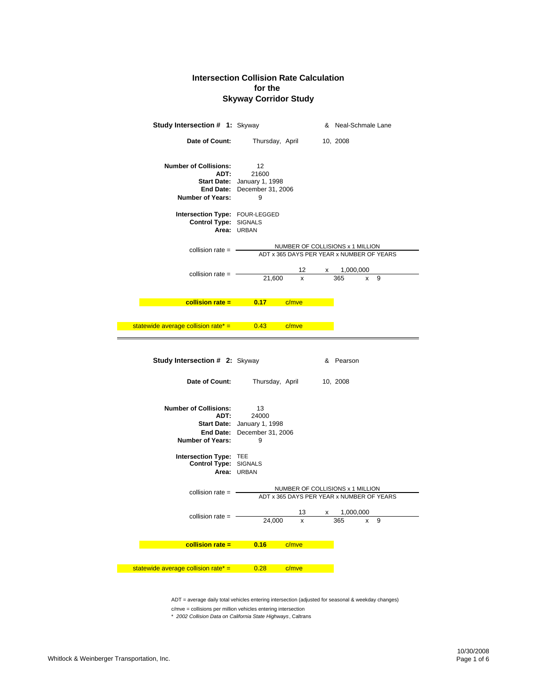| <b>Study Intersection # 1: Skyway</b>                                                                       |                                                                                               | & Neal-Schmale Lane                                                           |
|-------------------------------------------------------------------------------------------------------------|-----------------------------------------------------------------------------------------------|-------------------------------------------------------------------------------|
| Date of Count:                                                                                              | Thursday, April                                                                               | 10, 2008                                                                      |
| <b>Number of Collisions:</b><br>ADT:<br>Number of Years:                                                    | $12 \overline{ }$<br>21600<br>Start Date: January 1, 1998<br>End Date: December 31, 2006<br>9 |                                                                               |
| Intersection Type: FOUR-LEGGED<br>Control Type: SIGNALS                                                     | Area: URBAN                                                                                   |                                                                               |
| collision rate $=$ $-$                                                                                      |                                                                                               | NUMBER OF COLLISIONS x 1 MILLION<br>ADT x 365 DAYS PER YEAR x NUMBER OF YEARS |
| collision rate $=$ $-$                                                                                      | 12<br>21,600<br>x                                                                             | x 1,000,000<br>365<br>9<br>x                                                  |
|                                                                                                             | <b>Example 10.17</b> Collision rate = 0.17 C/mve                                              |                                                                               |
| statewide average collision rate <sup>*</sup> = $\qquad 0.43$ c/mve                                         |                                                                                               |                                                                               |
| Study Intersection # 2: Skyway                                                                              |                                                                                               | & Pearson                                                                     |
|                                                                                                             |                                                                                               |                                                                               |
| Date of Count:                                                                                              | Thursday, April                                                                               | 10, 2008                                                                      |
| <b>Number of Collisions:</b><br>ADT:<br><b>Number of Years:</b>                                             | - 13<br>24000<br>Start Date: January 1, 1998<br>End Date: December 31, 2006<br>9              |                                                                               |
| Intersection Type: TEE<br>Control Type: SIGNALS                                                             | Area: URBAN                                                                                   |                                                                               |
| collision rate $=$ $-$                                                                                      |                                                                                               | NUMBER OF COLLISIONS x 1 MILLION<br>ADT x 365 DAYS PER YEAR x NUMBER OF YEARS |
| collision rate $=$ $-$                                                                                      | 13<br>24,000                                                                                  | $\frac{x}{365}$ $\frac{1,000,000}{x}$                                         |
| <b>Example 2015 Collision rate =</b><br>statewide average collision rate <sup>*</sup> = $\qquad 0.28$ c/mve | $0.16$ $c/mve$                                                                                |                                                                               |

ADT = average daily total vehicles entering intersection (adjusted for seasonal & weekday changes)

c/mve = collisions per million vehicles entering intersection

\* *2002 Collision Data on California State Highways*, Caltrans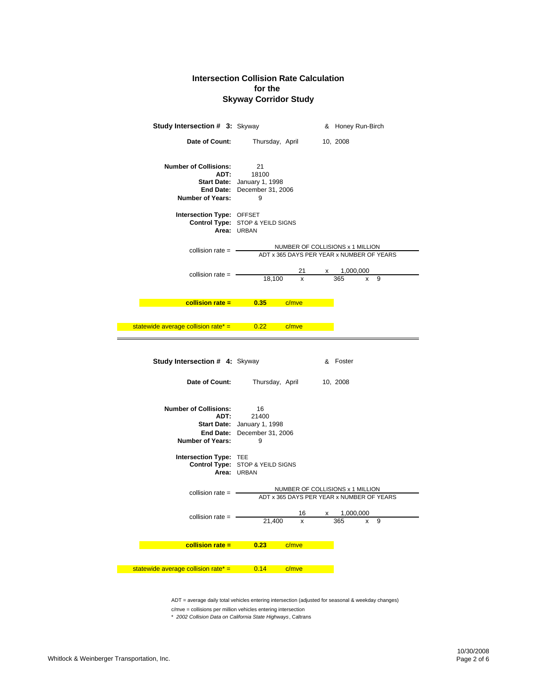## **Skyway Corridor Study Intersection Collision Rate Calculation for the**

| <b>Study Intersection # 3: Skyway</b>                           |                                                                                |                                                                               |              | & Honey Run-Birch |        |  |
|-----------------------------------------------------------------|--------------------------------------------------------------------------------|-------------------------------------------------------------------------------|--------------|-------------------|--------|--|
| Date of Count:                                                  |                                                                                | Thursday, April                                                               |              | 10, 2008          |        |  |
| <b>Number of Collisions:</b><br>ADT:<br><b>Number of Years:</b> | 21<br>18100<br>Start Date: January 1, 1998<br>End Date: December 31, 2006<br>9 |                                                                               |              |                   |        |  |
| Intersection Type: OFFSET                                       | Control Type: STOP & YEILD SIGNS<br>Area: URBAN                                |                                                                               |              |                   |        |  |
| collision rate $=$ $-$                                          |                                                                                | NUMBER OF COLLISIONS x 1 MILLION<br>ADT x 365 DAYS PER YEAR x NUMBER OF YEARS |              |                   |        |  |
| collision rate $=$ $-$                                          | 18,100                                                                         | 21<br>x                                                                       | X            | 1,000,000<br>365  | 9<br>x |  |
|                                                                 | $\text{collision rate} = 0.35$                                                 | c/mve                                                                         |              |                   |        |  |
| statewide average collision rate* $=$ 0.22                      |                                                                                | c/mve                                                                         |              |                   |        |  |
| <b>Study Intersection # 4: Skyway</b>                           |                                                                                |                                                                               |              | & Foster          |        |  |
| Date of Count:                                                  | Thursday, April                                                                |                                                                               |              | 10, 2008          |        |  |
| <b>Number of Collisions:</b><br>ADT:<br><b>Number of Years:</b> | 16<br>21400<br>Start Date: January 1, 1998<br>End Date: December 31, 2006<br>9 |                                                                               |              |                   |        |  |
| Intersection Type: TEE                                          | Control Type: STOP & YEILD SIGNS<br>Area: URBAN                                |                                                                               |              |                   |        |  |
| collision rate $=$ $-$                                          |                                                                                | NUMBER OF COLLISIONS x 1 MILLION<br>ADT x 365 DAYS PER YEAR x NUMBER OF YEARS |              |                   |        |  |
| collision rate $=$ $-$                                          | 21,400                                                                         | 16<br>x                                                                       | $\mathsf{X}$ | 1,000,000<br>365  | 9      |  |
|                                                                 |                                                                                |                                                                               |              |                   |        |  |
| $collision rate =$                                              | 0.23                                                                           | c/mve                                                                         |              |                   |        |  |
| statewide average collision rate* = $0.14$ c/mve                |                                                                                |                                                                               |              |                   |        |  |

ADT = average daily total vehicles entering intersection (adjusted for seasonal & weekday changes)

c/mve = collisions per million vehicles entering intersection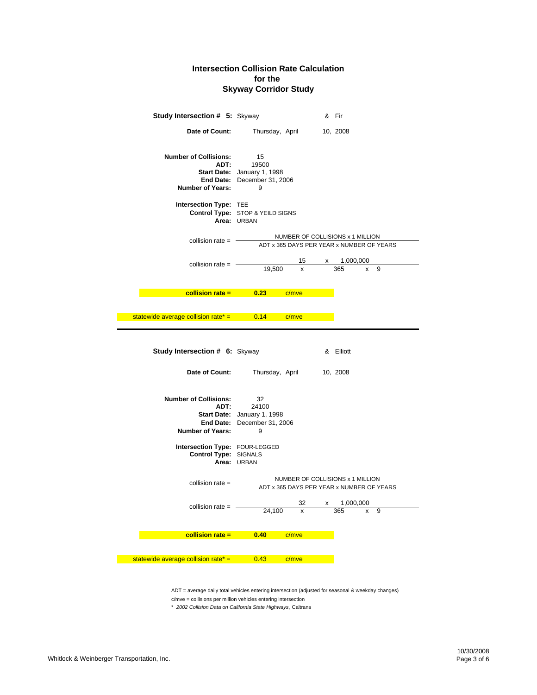| <b>Study Intersection # 5: Skyway</b>                               |                                                                                | & Fir                                                                         |
|---------------------------------------------------------------------|--------------------------------------------------------------------------------|-------------------------------------------------------------------------------|
| Date of Count:                                                      | Thursday, April                                                                | 10, 2008                                                                      |
| <b>Number of Collisions:</b><br>ADT:<br><b>Number of Years:</b>     | 15<br>19500<br>Start Date: January 1, 1998<br>End Date: December 31, 2006<br>9 |                                                                               |
| Intersection Type: TEE                                              | Control Type: STOP & YEILD SIGNS<br>Area: URBAN                                |                                                                               |
| collision rate $=$ $-$                                              |                                                                                | NUMBER OF COLLISIONS x 1 MILLION<br>ADT x 365 DAYS PER YEAR x NUMBER OF YEARS |
| collision rate $=$ $-$                                              | 15<br>19,500<br>x                                                              | 1,000,000<br><b>X</b><br>365<br>9<br>x                                        |
|                                                                     | <b>Example 10.23</b> Collision rate = 0.23 C/mve                               |                                                                               |
| statewide average collision rate <sup>*</sup> = $\qquad 0.14$ c/mve |                                                                                |                                                                               |
|                                                                     |                                                                                |                                                                               |
| <b>Study Intersection # 6: Skyway</b>                               |                                                                                | & Elliott                                                                     |
| Date of Count:                                                      | Thursday, April                                                                | 10, 2008                                                                      |
| <b>Number of Collisions:</b><br>ADT:<br><b>Number of Years:</b>     | 32<br>24100<br>Start Date: January 1, 1998<br>End Date: December 31, 2006<br>9 |                                                                               |
| Intersection Type: FOUR-LEGGED<br>Control Type: SIGNALS             | Area: URBAN                                                                    |                                                                               |
| collision rate $=$ $-$                                              |                                                                                | NUMBER OF COLLISIONS x 1 MILLION<br>ADT x 365 DAYS PER YEAR x NUMBER OF YEARS |
| collision rate =                                                    | 32<br>x                                                                        | 1,000,000<br>x                                                                |
|                                                                     | 24,100                                                                         | 365<br>9                                                                      |
| collision rate $=$                                                  | 0.40<br>c/mve                                                                  |                                                                               |
| statewide average collision rate* =                                 | 0.43<br>c/mve                                                                  |                                                                               |

ADT = average daily total vehicles entering intersection (adjusted for seasonal & weekday changes)

c/mve = collisions per million vehicles entering intersection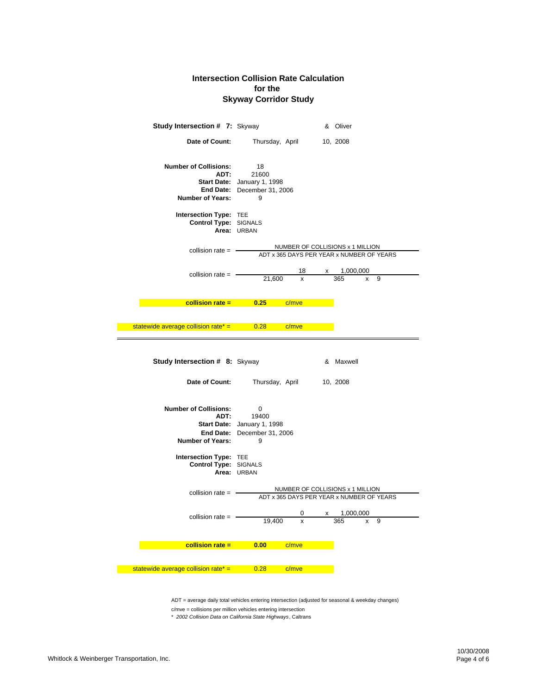| <b>Study Intersection # 7: Skyway</b>                    |                                                                                | & Oliver                                                                      |
|----------------------------------------------------------|--------------------------------------------------------------------------------|-------------------------------------------------------------------------------|
| Date of Count:                                           | Thursday, April                                                                | 10, 2008                                                                      |
| <b>Number of Collisions:</b><br>ADT:<br>Number of Years: | 18<br>21600<br>Start Date: January 1, 1998<br>End Date: December 31, 2006<br>9 |                                                                               |
| Intersection Type: TEE<br>Control Type: SIGNALS          | Area: URBAN                                                                    |                                                                               |
| collision rate $=$ $-$                                   |                                                                                | NUMBER OF COLLISIONS x 1 MILLION<br>ADT x 365 DAYS PER YEAR x NUMBER OF YEARS |
| collision rate $=$ $-$                                   | 18<br>21,600<br>X                                                              | $x = 1,000,000$<br>365<br>9<br>x                                              |
| $collision rate =$                                       | 0.25<br>c/mve                                                                  |                                                                               |
| statewide average collision rate* $=$ 0.28               | c/mve                                                                          |                                                                               |
| <b>Study Intersection # 8: Skyway</b>                    |                                                                                | & Maxwell                                                                     |
| Date of Count:                                           | Thursday, April                                                                | 10, 2008                                                                      |
|                                                          |                                                                                |                                                                               |
| <b>Number of Collisions:</b><br>ADT:<br>Number of Years: | 0<br>19400<br>Start Date: January 1, 1998<br>End Date: December 31, 2006<br>9  |                                                                               |
| Intersection Type: TEE<br>Control Type: SIGNALS          | Area: URBAN                                                                    |                                                                               |
| collision rate $=$                                       |                                                                                | NUMBER OF COLLISIONS x 1 MILLION<br>ADT x 365 DAYS PER YEAR x NUMBER OF YEARS |
| collision rate $=$                                       | 19.400<br>x                                                                    | $x = 1,000,000$<br>365<br>9                                                   |
|                                                          |                                                                                |                                                                               |
| collision rate $=$                                       | 0.00<br>c/mve                                                                  |                                                                               |

ADT = average daily total vehicles entering intersection (adjusted for seasonal & weekday changes)

c/mve = collisions per million vehicles entering intersection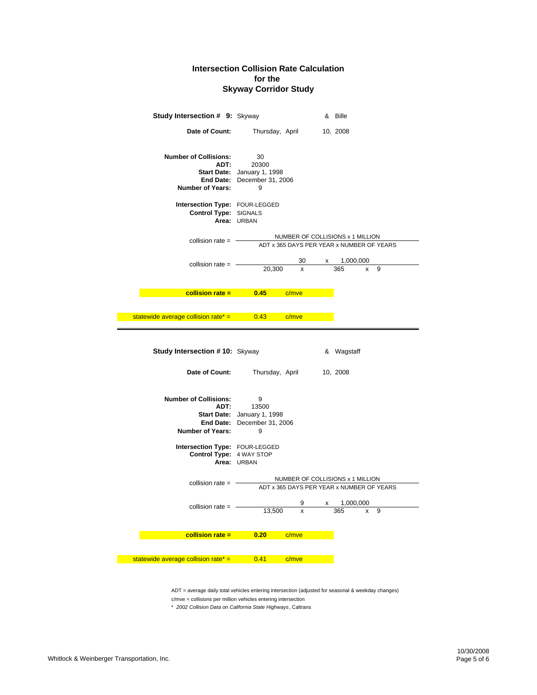| Study Intersection # 9: Skyway                                  |                                                                                                                                                                                                                                     |              | & Bille                                                                       |  |
|-----------------------------------------------------------------|-------------------------------------------------------------------------------------------------------------------------------------------------------------------------------------------------------------------------------------|--------------|-------------------------------------------------------------------------------|--|
| Date of Count:                                                  | Thursday, April                                                                                                                                                                                                                     |              | 10, 2008                                                                      |  |
| <b>Number of Collisions:</b><br>ADT:<br><b>Number of Years:</b> | 30<br>20300<br><b>Start Date:</b> January 1, 1998<br>End Date: December 31, 2006<br>9                                                                                                                                               |              |                                                                               |  |
| Intersection Type: FOUR-LEGGED<br>Control Type: SIGNALS         | Area: URBAN                                                                                                                                                                                                                         |              |                                                                               |  |
| collision rate $=$ $-$                                          |                                                                                                                                                                                                                                     |              | NUMBER OF COLLISIONS x 1 MILLION<br>ADT x 365 DAYS PER YEAR x NUMBER OF YEARS |  |
| collision rate $=$ $-$                                          | 30<br>20,300<br>x                                                                                                                                                                                                                   | X            | 1,000,000<br>365<br>9<br>x                                                    |  |
|                                                                 | <b>Example 10.45</b> Collision rate = 0.45 Collision rate = 0.45 Collision and the collision of the collision of the collision of the collision of the collision of the collision of the collision of the collision of the collisio |              |                                                                               |  |
| statewide average collision rate <sup>*</sup> = $\qquad 0.43$   | c/mve                                                                                                                                                                                                                               |              |                                                                               |  |
| <b>Study Intersection #10: Skyway</b>                           |                                                                                                                                                                                                                                     |              | & Wagstaff                                                                    |  |
| Date of Count:                                                  | Thursday, April                                                                                                                                                                                                                     |              | 10, 2008                                                                      |  |
|                                                                 |                                                                                                                                                                                                                                     |              |                                                                               |  |
| <b>Number of Collisions:</b><br>ADT:<br><b>Number of Years:</b> | 9<br>13500<br>Start Date: January 1, 1998<br>End Date: December 31, 2006<br>9                                                                                                                                                       |              |                                                                               |  |
| Intersection Type: FOUR-LEGGED<br>Control Type: 4 WAY STOP      | Area: URBAN                                                                                                                                                                                                                         |              |                                                                               |  |
| collision rate $=$ $-$                                          |                                                                                                                                                                                                                                     |              | NUMBER OF COLLISIONS x 1 MILLION<br>ADT x 365 DAYS PER YEAR x NUMBER OF YEARS |  |
| collision rate $=$                                              | x                                                                                                                                                                                                                                   | $\mathsf{X}$ | 1,000,000<br>365<br>9                                                         |  |
|                                                                 | 13,500                                                                                                                                                                                                                              |              |                                                                               |  |
| $collision rate =$                                              | 0.20<br>c/mve                                                                                                                                                                                                                       |              |                                                                               |  |

ADT = average daily total vehicles entering intersection (adjusted for seasonal & weekday changes)

c/mve = collisions per million vehicles entering intersection